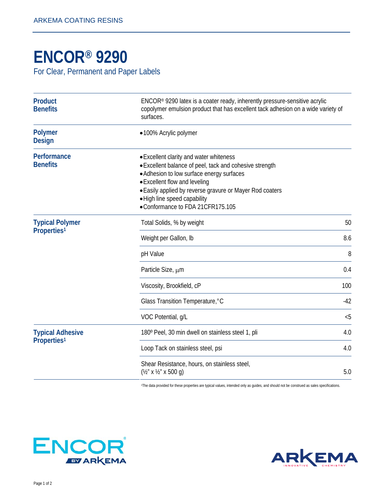## **[ENCOR® 9290](http://www.arkemacoatingresins.com/en/index.html)**

For Clear, Permanent and Paper Labels

| <b>Product</b><br><b>Benefits</b>                  | $ENCOR®$ 9290 latex is a coater ready, inherently pressure-sensitive acrylic<br>copolymer emulsion product that has excellent tack adhesion on a wide variety of<br>surfaces.                                                                                                                                    |       |
|----------------------------------------------------|------------------------------------------------------------------------------------------------------------------------------------------------------------------------------------------------------------------------------------------------------------------------------------------------------------------|-------|
| <b>Polymer</b><br><b>Design</b>                    | •100% Acrylic polymer                                                                                                                                                                                                                                                                                            |       |
| Performance<br><b>Benefits</b>                     | • Excellent clarity and water whiteness<br>• Excellent balance of peel, tack and cohesive strength<br>• Adhesion to low surface energy surfaces<br>• Excellent flow and leveling<br>• Easily applied by reverse gravure or Mayer Rod coaters<br>· High line speed capability<br>•Conformance to FDA 21CFR175.105 |       |
| <b>Typical Polymer</b><br>Properties <sup>1</sup>  | Total Solids, % by weight                                                                                                                                                                                                                                                                                        | 50    |
|                                                    | Weight per Gallon, Ib                                                                                                                                                                                                                                                                                            | 8.6   |
|                                                    | pH Value                                                                                                                                                                                                                                                                                                         | 8     |
|                                                    | Particle Size, $\mu$ m                                                                                                                                                                                                                                                                                           | 0.4   |
|                                                    | Viscosity, Brookfield, cP                                                                                                                                                                                                                                                                                        | 100   |
|                                                    | Glass Transition Temperature, °C                                                                                                                                                                                                                                                                                 | $-42$ |
|                                                    | VOC Potential, g/L                                                                                                                                                                                                                                                                                               | < 5   |
| <b>Typical Adhesive</b><br>Properties <sup>1</sup> | 180° Peel, 30 min dwell on stainless steel 1, pli                                                                                                                                                                                                                                                                | 4.0   |
|                                                    | Loop Tack on stainless steel, psi                                                                                                                                                                                                                                                                                | 4.0   |
|                                                    | Shear Resistance, hours, on stainless steel,<br>$(\frac{1}{2}$ " x $\frac{1}{2}$ " x 500 q)                                                                                                                                                                                                                      | 5.0   |

1The data provided for these properties are typical values, intended only as guides, and should not be construed as sales specifications.